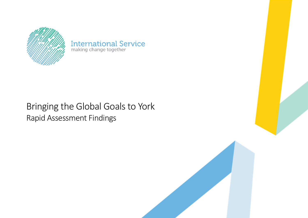

**International Service**<br>making change together

# Bringing the Global Goals to York Rapid Assessment Findings

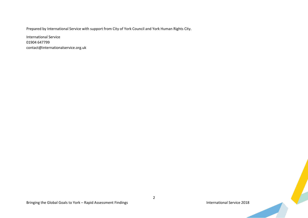Prepared by International Service with support from City of York Council and York Human Rights City.

International Service 01904 647799 contact@internationalservice.org.uk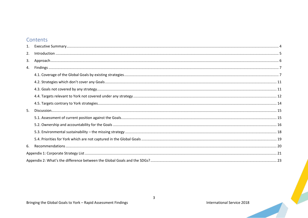# Contents

| 2. | $\begin{minipage}[c]{0.5\textwidth} \centering \begin{tabular}[c]{@{}l@{}} \hline \textbf{Introduction} & \textbf{3.5} \\ \textbf{1.5} & \textbf{1.5} \\ \textbf{2.5} & \textbf{2.5} \\ \textbf{3.6} & \textbf{3.6} \\ \textbf{4.7} & \textbf{5.7} \\ \textbf{5.8} & \textbf{6.7} \\ \textbf{6.8} & \textbf{7.8} \\ \textbf{7.9} & \textbf{8.8} \\ \textbf{8.9} & \textbf{9.8} \\ \textbf{9.1} & \textbf{1.7} \\ \textbf{10$ |  |  |  |  |
|----|------------------------------------------------------------------------------------------------------------------------------------------------------------------------------------------------------------------------------------------------------------------------------------------------------------------------------------------------------------------------------------------------------------------------------|--|--|--|--|
| 3. |                                                                                                                                                                                                                                                                                                                                                                                                                              |  |  |  |  |
| 4. |                                                                                                                                                                                                                                                                                                                                                                                                                              |  |  |  |  |
|    |                                                                                                                                                                                                                                                                                                                                                                                                                              |  |  |  |  |
|    |                                                                                                                                                                                                                                                                                                                                                                                                                              |  |  |  |  |
|    |                                                                                                                                                                                                                                                                                                                                                                                                                              |  |  |  |  |
|    |                                                                                                                                                                                                                                                                                                                                                                                                                              |  |  |  |  |
|    |                                                                                                                                                                                                                                                                                                                                                                                                                              |  |  |  |  |
| 5. | $Discussion 15$                                                                                                                                                                                                                                                                                                                                                                                                              |  |  |  |  |
|    |                                                                                                                                                                                                                                                                                                                                                                                                                              |  |  |  |  |
|    |                                                                                                                                                                                                                                                                                                                                                                                                                              |  |  |  |  |
|    |                                                                                                                                                                                                                                                                                                                                                                                                                              |  |  |  |  |
|    |                                                                                                                                                                                                                                                                                                                                                                                                                              |  |  |  |  |
| 6. |                                                                                                                                                                                                                                                                                                                                                                                                                              |  |  |  |  |
|    |                                                                                                                                                                                                                                                                                                                                                                                                                              |  |  |  |  |
|    |                                                                                                                                                                                                                                                                                                                                                                                                                              |  |  |  |  |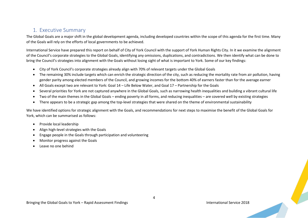## <span id="page-3-0"></span>1. Executive Summary

The Global Goals are a major shift in the global development agenda, including developed countries within the scope of this agenda for the first time. Many of the Goals will rely on the efforts of local governments to be achieved.

International Service have prepared this report on behalf of City of York Council with the support of York Human Rights City. In it we examine the alignment of the Council's corporate strategies to the Global Goals, identifying any omissions, duplications, and contradictions. We then identify what can be done to bring the Council's strategies into alignment with the Goals without losing sight of what is important to York. Some of our key findings:

- City of York Council's corporate strategies already align with 70% of relevant targets under the Global Goals
- The remaining 30% include targets which can enrich the strategic direction of the city, such as reducing the mortality rate from air pollution, having gender parity among elected members of the Council, and growing incomes for the bottom 40% of earners faster than for the average earner
- All Goals except two are relevant to York: Goal 14 Life Below Water, and Goal 17 Partnership for the Goals
- Several priorities for York are not captured anywhere in the Global Goals, such as narrowing health inequalities and building a vibrant cultural life
- Two of the main themes in the Global Goals ending poverty in all forms, and reducing inequalities are covered well by existing strategies
- There appears to be a strategic gap among the top-level strategies that were shared on the theme of environmental sustainability

We have identified options for strategic alignment with the Goals, and recommendations for next steps to maximise the benefit of the Global Goals for York, which can be summarised as follows:

- Provide local leadership
- Align high-level strategies with the Goals
- Engage people in the Goals through participation and volunteering
- Monitor progress against the Goals
- Leave no one behind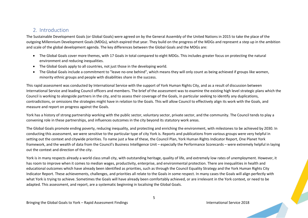## <span id="page-4-0"></span>2. Introduction

The Sustainable Development Goals (or Global Goals) were agreed on by the General Assembly of the United Nations in 2015 to take the place of the outgoing Millennium Development Goals (MDGs), which expired that year. They build on the progress of the MDGs and represent a step up in the ambition and scale of the global development agenda. The key differences between the Global Goals and the MDGs are:

- The Global Goals cover more themes, with 17 Goals in total compared to eight MDGs. This includes greater focus on protecting the natural environment and reducing inequalities.
- The Global Goals apply to all countries, not just those in the developing world.
- The Global Goals include a commitment to "leave no-one behind", which means they will only count as being achieved if groups like women, minority ethnic groups and people with disabilities share in the success.

This rapid assessment was conducted by International Service with the support of York Human Rights City, and as a result of discussion between International Service and leading Council officers and members. The brief of the assessment was to examine the existing high level strategic plans which the Council is working to alongside partners in the city, and to assess their coverage of the Goals, in particular seeking to identify any duplications, contradictions, or omissions the strategies might have in relation to the Goals. This will allow Council to effectively align its work with the Goals, and measure and report on progress against the Goals.

York has a history of strong partnership working with the public sector, voluntary sector, private sector, and the community. The Council tends to play a convening role in these partnerships, and influences outcomes in the city beyond its statutory work areas.

The Global Goals promote ending poverty, reducing inequality, and protecting and enriching the environment, with milestones to be achieved by 2030. In conducting this assessment, we were sensitive to the particular type of city York is. Reports and publications from various groups were very helpful in setting out the context and citywide priorities. To name just a few of these, the Council Plan, York Human Rights Indicator Report, One Planet York framework, and the wealth of data from the Council's Business Intelligence Unit – especially the Performance Scorecards – were extremely helpful in laying out the context and direction of the city.

York is in many respects already a world class small city, with outstanding heritage, quality of life, and extremely low rates of unemployment. However, it has room to improve when it comes to median wages, productivity, enterprise, and environmental protection. There are inequalities in health and educational outcomes which have already been identified as priorities, such as through the Council Equality Strategy and the York Human Rights City Indicator Report. These achievements, challenges, and priorities all relate to the Goals in some respect. In many cases the Goals will align perfectly with what York is trying to achieve. Sometimes the Goals will have already been comfortably achieved, or are irrelevant in the York context, or need to be adapted. This assessment, and report, are a systematic beginning in localising the Global Goals.

5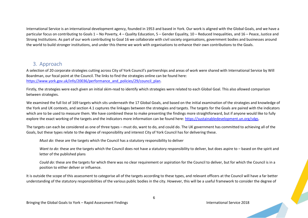International Service is an international development agency, founded in 1953 and based in York. Our work is aligned with the Global Goals, and we have a particular focus on contributing to Goals 1 – No Poverty, 4 – Quality Education, 5 – Gender Equality, 10 – Reduced Inequalities, and 16 – Peace, Justice and Strong Institutions. As part of our work contributing to Goal 16 we collaborate with civil society organisations, government bodies and businesses around the world to build stronger institutions, and under this theme we work with organisations to enhance their own contributions to the Goals.

## <span id="page-5-0"></span>3. Approach

A selection of 20 corporate strategies cutting across City of York Council's partnerships and areas of work were shared with International Service by Will Boardman, our focal point at the Council. The links to find the strategies online can be found here: [https://www.york.gov.uk/info/20036/performance\\_and\\_policies/29/council\\_plan.](https://www.york.gov.uk/info/20036/performance_and_policies/29/council_plan)

Firstly, the strategies were each given an initial skim-read to identify which strategies were related to each Global Goal. This also allowed comparison between strategies.

We examined the full list of 169 targets which sits underneath the 17 Global Goals, and based on the initial examination of the strategies and knowledge of the York and UK contexts, and section 4.1 captures the linkages between the strategies and targets. The targets for the Goals are paired with the indicators which are to be used to measure them. We have combined these to make presenting the findings more straightforward, but if anyone would like to fully explore the exact working of the targets and the indicators more information can be found here[: https://sustainabledevelopment.un.org/sdgs.](https://sustainabledevelopment.un.org/sdgs)

The targets can each be considered as one of three types – must do, want to do, and could do. The UK government has committed to achieving all of the Goals, but these types relate to the degree of responsibility and interest City of York Council has for delivering these.

*Must do*: these are the targets which the Council has a statutory responsibility to deliver

*Want to do*: these are the targets which the Council does not have a statutory responsibility to deliver, but does aspire to – based on the spirit and letter of the published plans

*Could do*: these are the targets for which there was no clear requirement or aspiration for the Council to deliver, but for which the Council is in a position to either deliver or influence.

It is outside the scope of this assessment to categorise all of the targets according to these types, and relevant officers at the Council will have a far better understanding of the statutory responsibilities of the various public bodies in the city. However, this will be a useful framework to consider the degree of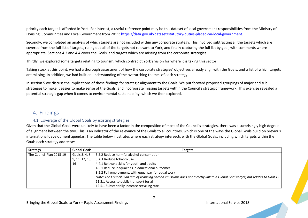priority each target is afforded in York. For interest, a useful reference point may be this dataset of local government responsibilities from the Ministry of Housing, Communities and Local Government from 2011: [https://data.gov.uk/dataset/statutory-duties-placed-on-local-government.](https://data.gov.uk/dataset/statutory-duties-placed-on-local-government)

Secondly, we completed an analysis of which targets are not included within any corporate strategy. This involved subtracting all the targets which are covered from the full list of targets, ruling out all of the targets not relevant to York, and finally capturing the full list by goal, with comments where appropriate. Sections 4.3 and 4.4 cover the Goals, and targets which are missing from the corporate strategies.

Thirdly, we explored some targets relating to tourism, which contradict York's vision for where it is taking this sector.

Taking stock at this point, we had a thorough assessment of how the corporate strategies' objectives already align with the Goals, and a list of which targets are missing. In addition, we had built an understanding of the overarching themes of each strategy.

In section 5 we discuss the implications of these findings for strategic alignment to the Goals. We put forward proposed groupings of major and sub strategies to make it easier to make sense of the Goals, and incorporate missing targets within the Council's strategic framework. This exercise revealed a potential strategic gap when it comes to environmental sustainability, which we then explored.

## <span id="page-6-0"></span>4. Findings

#### 4.1. Coverage of the Global Goals by existing strategies

<span id="page-6-1"></span>Given that the Global Goals were unlikely to have been a factor in the composition of most of the Council's strategies, there was a surprisingly high degree of alignment between the two. This is an indicator of the relevance of the Goals to all countries, which is one of the ways the Global Goals build on previous international development agendas. The table below illustrates where each strategy intersects with the Global Goals, including which targets within the Goals each strategy addresses.

| <b>Strategy</b>          | <b>Global Goals</b> | <b>Targets</b>                                                                                                                 |
|--------------------------|---------------------|--------------------------------------------------------------------------------------------------------------------------------|
| The Council Plan 2015-19 | Goals 3, 4, 8,      | 3.5.2 Reduce harmful alcohol consumption                                                                                       |
|                          | 9, 11, 12, 13,      | 3.A.1 Reduce tobacco use                                                                                                       |
|                          | 16                  | 4.4.1 Relevant skills for youth and adults                                                                                     |
|                          |                     | 4.5.1 Reduce inequalities in educational outcomes                                                                              |
|                          |                     | 8.5.2 Full employment, with equal pay for equal work                                                                           |
|                          |                     | Note: The Council Plan aim of reducing carbon emissions does not directly link to a Global Goal target, but relates to Goal 13 |
|                          |                     | 11.2.1 Access to public transport for all                                                                                      |
|                          |                     | 12.5.1 Substantially increase recycling rate                                                                                   |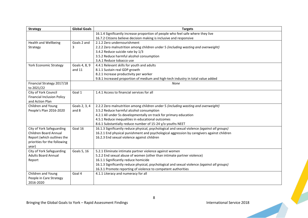| <b>Strategy</b>                          | <b>Global Goals</b> | <b>Targets</b>                                                                               |  |  |  |
|------------------------------------------|---------------------|----------------------------------------------------------------------------------------------|--|--|--|
|                                          |                     | 16.1.4 Significantly increase proportion of people who feel safe where they live             |  |  |  |
|                                          |                     | 16.7.2 Citizens believe decision making is inclusive and responsive                          |  |  |  |
| <b>Health and Wellbeing</b>              | Goals 2 and         | 2.1.2 Zero undernourishment                                                                  |  |  |  |
| Strategy                                 | 3                   | 2.2.2 Zero malnutrition among children under 5 (including wasting and overweight)            |  |  |  |
|                                          |                     | 3.4.2 Reduce suicide rate by 1/3                                                             |  |  |  |
|                                          |                     | 3.5.2 Reduce harmful alcohol consumption                                                     |  |  |  |
|                                          |                     | 3.A.1 Reduce tobacco use                                                                     |  |  |  |
| <b>York Economic Strategy</b>            | Goals 4, 8, 9       | 4.4.1 Relevant skills for youth and adults                                                   |  |  |  |
|                                          | and $11$            | 8.1.1 Sustain real GDP growth                                                                |  |  |  |
|                                          |                     | 8.2.1 Increase productivity per worker                                                       |  |  |  |
|                                          |                     | 9.B.1 Increased proportion of medium and high-tech industry in total value added             |  |  |  |
| Financial Strategy 2017/18<br>to 2021/22 |                     | None                                                                                         |  |  |  |
| City of York Council                     | Goal 1              | 1.4.1 Access to financial services for all                                                   |  |  |  |
| <b>Financial Inclusion Policy</b>        |                     |                                                                                              |  |  |  |
| and Action Plan                          |                     |                                                                                              |  |  |  |
| Children and Young                       | Goals 2, 3, 4       | 2.2.2 Zero malnutrition among children under 5 (including wasting and overweight)            |  |  |  |
| People's Plan 2016-2020                  | and 8               | 3.5.2 Reduce harmful alcohol consumption                                                     |  |  |  |
|                                          |                     | 4.2.1 All under 5s developmentally on track for primary education                            |  |  |  |
|                                          |                     | 4.5.1 Reduce inequalities in educational outcomes                                            |  |  |  |
|                                          |                     | 8.6.1 Substantially reduce number of 15-24 y/o youths NEET                                   |  |  |  |
| City of York Safeguarding                | Goal 16             | 16.1.3 Significantly reduce physical, psychological and sexual violence (against all groups) |  |  |  |
| <b>Children Board Annual</b>             |                     | 16.2.1 End physical punishment and psychological aggression by caregivers against children   |  |  |  |
| Report (which outlines the               |                     | 16.2.3 End sexual violence against children                                                  |  |  |  |
| priorities for the following             |                     |                                                                                              |  |  |  |
| year)                                    |                     |                                                                                              |  |  |  |
| City of York Safeguarding                | Goals 5, 16         | 5.2.1 Eliminate intimate partner violence against women                                      |  |  |  |
| <b>Adults Board Annual</b>               |                     | 5.2.2 End sexual abuse of women (other than intimate partner violence)                       |  |  |  |
| Report                                   |                     | 16.1.1 Significantly reduce homicide                                                         |  |  |  |
|                                          |                     | 16.1.3 Significantly reduce physical, psychological and sexual violence (against all groups) |  |  |  |
|                                          |                     | 16.3.1 Promote reporting of violence to competent authorities                                |  |  |  |
| Children and Young                       | Goal 4              | 4.1.1 Literacy and numeracy for all                                                          |  |  |  |
| People in Care Strategy                  |                     |                                                                                              |  |  |  |
| 2016-2020                                |                     |                                                                                              |  |  |  |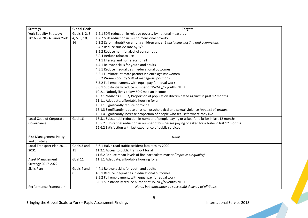| <b>Strategy</b>               | <b>Global Goals</b>                                       | <b>Targets</b>                                                                                     |  |  |  |
|-------------------------------|-----------------------------------------------------------|----------------------------------------------------------------------------------------------------|--|--|--|
| York Equality Strategy:       | Goals 1, 2, 3,                                            | 1.2.1 50% reduction in relative poverty by national measures                                       |  |  |  |
| 2016 - 2020 - A Fairer York   | 4, 5, 8, 10,                                              | 1.2.2 50% reduction in multidimensional poverty                                                    |  |  |  |
|                               | 16                                                        | 2.2.2 Zero malnutrition among children under 5 (including wasting and overweight)                  |  |  |  |
|                               |                                                           | 3.4.2 Reduce suicide rate by 1/3                                                                   |  |  |  |
|                               |                                                           | 3.5.2 Reduce harmful alcohol consumption                                                           |  |  |  |
|                               |                                                           | 3.A.1 Reduce tobacco use                                                                           |  |  |  |
|                               |                                                           | 4.1.1 Literacy and numeracy for all                                                                |  |  |  |
|                               |                                                           | 4.4.1 Relevant skills for youth and adults                                                         |  |  |  |
|                               |                                                           | 4.5.1 Reduce inequalities in educational outcomes                                                  |  |  |  |
|                               |                                                           | 5.2.1 Eliminate intimate partner violence against women                                            |  |  |  |
|                               |                                                           | 5.5.2 Women occupy 50% of managerial positions                                                     |  |  |  |
|                               |                                                           | 8.5.2 Full employment, with equal pay for equal work                                               |  |  |  |
|                               |                                                           | 8.6.1 Substantially reduce number of 15-24 y/o youths NEET                                         |  |  |  |
|                               |                                                           | 10.2.1 Nobody lives below 50% median income                                                        |  |  |  |
|                               |                                                           | 10.3.1 (same as 16.8.1) Proportion of population discriminated against in past 12 months           |  |  |  |
|                               |                                                           | 11.1.1 Adequate, affordable housing for all                                                        |  |  |  |
|                               |                                                           | 16.1.1 Significantly reduce homicide                                                               |  |  |  |
|                               |                                                           | 16.1.3 Significantly reduce physical, psychological and sexual violence (against all groups)       |  |  |  |
|                               |                                                           | 16.1.4 Significantly increase proportion of people who feel safe where they live                   |  |  |  |
| Local Code of Corporate       | Goal 16                                                   | 16.5.1 Substantial reduction in number of people paying or asked for a bribe in last 12 months     |  |  |  |
| Governance                    |                                                           | 16.5.2 Substantial reduction in number of businesses paying or asked for a bribe in last 12 months |  |  |  |
|                               |                                                           | 16.6.2 Satisfaction with last experience of public services                                        |  |  |  |
|                               |                                                           |                                                                                                    |  |  |  |
| <b>Risk Management Policy</b> |                                                           | None                                                                                               |  |  |  |
| and Strategy                  |                                                           |                                                                                                    |  |  |  |
| Local Transport Plan 2011-    | Goals 3 and                                               | 3.6.1 Halve road traffic accident fatalities by 2020                                               |  |  |  |
| 2031                          | 11                                                        | 11.2.1 Access to public transport for all                                                          |  |  |  |
|                               |                                                           | 11.6.2 Reduce mean levels of fine particulate matter (improve air quality)                         |  |  |  |
| Asset Management              | Goal 11                                                   | 11.1.1 Adequate, affordable housing for all                                                        |  |  |  |
| Strategy 2017-2022            |                                                           |                                                                                                    |  |  |  |
| Skills Plan                   | Goals 4 and                                               | 4.4.1 Relevant skills for youth and adults                                                         |  |  |  |
|                               | 8                                                         | 4.5.1 Reduce inequalities in educational outcomes                                                  |  |  |  |
|                               |                                                           | 8.5.2 Full employment, with equal pay for equal work                                               |  |  |  |
|                               |                                                           | 8.6.1 Substantially reduce number of 15-24 y/o youths NEET                                         |  |  |  |
| Performance Framework         | None, but contributes to successful delivery of all Goals |                                                                                                    |  |  |  |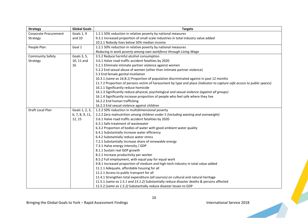| <b>Strategy</b>         | <b>Global Goals</b> | <b>Targets</b>                                                                                                          |
|-------------------------|---------------------|-------------------------------------------------------------------------------------------------------------------------|
| Corporate Procurement   | Goals 1, 9          | 1.2.1 50% reduction in relative poverty by national measures                                                            |
| Strategy                | and $10$            | 9.3.1 Increased proportion of small scale industries in total industry value added                                      |
|                         |                     | 10.2.1 Nobody lives below 50% median income                                                                             |
| People Plan             | Goal 1              | 1.2.1 50% reduction in relative poverty by national measures                                                            |
|                         |                     | Reducing in work poverty among own workforce through Living Wage                                                        |
| <b>Community Safety</b> | Goals 3, 5,         | 3.5.2 Reduce harmful alcohol consumption                                                                                |
| Strategy                | 10, 11 and          | 3.6.1 Halve road traffic accident fatalities by 2020                                                                    |
|                         | 16                  | 5.2.1 Eliminate intimate partner violence against women                                                                 |
|                         |                     | 5.2.2 End sexual abuse of women (other than intimate partner violence)                                                  |
|                         |                     | 5.3 End female genital mutilation                                                                                       |
|                         |                     | 10.3.1 (same as 16.8.1) Proportion of population discriminated against in past 12 months                                |
|                         |                     | 11.7.2 Proportion of persons victim of harassment by type and place (indicator to capture safe access to public spaces) |
|                         |                     | 16.1.1 Significantly reduce homicide                                                                                    |
|                         |                     | 16.1.3 Significantly reduce physical, psychological and sexual violence (against all groups)                            |
|                         |                     | 16.1.4 Significantly increase proportion of people who feel safe where they live                                        |
|                         |                     | 16.2.2 End human trafficking                                                                                            |
|                         |                     | 16.2.3 End sexual violence against children                                                                             |
| Draft Local Plan        | Goals 1, 2, 3,      | 1.2.2 50% reduction in multidimensional poverty                                                                         |
|                         | 6, 7, 8, 9, 11,     | 2.2.2 Zero malnutrition among children under 5 (including wasting and overweight)                                       |
|                         | 12, 15              | 3.6.1 Halve road traffic accident fatalities by 2020                                                                    |
|                         |                     | 6.3.1 Safe treatment of wastewater                                                                                      |
|                         |                     | 6.3.2 Proportion of bodies of water with good ambient water quality                                                     |
|                         |                     | 6.4.1 Substantially increase water efficiency                                                                           |
|                         |                     | 6.4.2 Substantially reduce water stress                                                                                 |
|                         |                     | 7.2.1 Substantially increase share of renewable energy                                                                  |
|                         |                     | 7.3.1 Halve energy intensity / GDP                                                                                      |
|                         |                     | 8.1.1 Sustain real GDP growth                                                                                           |
|                         |                     | 8.2.1 Increase productivity per worker                                                                                  |
|                         |                     | 8.5.2 Full employment, with equal pay for equal work                                                                    |
|                         |                     | 9.B.1 Increased proportion of medium and high-tech industry in total value added                                        |
|                         |                     | 11.1.1 Adequate, affordable housing for all                                                                             |
|                         |                     | 11.2.1 Access to public transport for all                                                                               |
|                         |                     | 11.4.1 Strengthen total expenditure (all sources) on cultural and natural heritage                                      |
|                         |                     | 11.5.1 (same as 1.5.1 and 13.1.2) Substantially reduce disaster deaths & persons affected                               |
|                         |                     | 11.5.2 (same as 1.5.2) Substantially reduce disaster losses to GDP                                                      |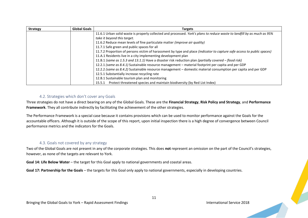| <b>Strategy</b> | <b>Global Goals</b> | <b>Targets</b>                                                                                                                 |
|-----------------|---------------------|--------------------------------------------------------------------------------------------------------------------------------|
|                 |                     | 11.6.1 Urban solid waste is properly collected and processed. York's plans to reduce waste to landfill by as much as 95%       |
|                 |                     | take it beyond this target.                                                                                                    |
|                 |                     | 11.6.2 Reduce mean levels of fine particulate matter (improve air quality)                                                     |
|                 |                     | 11.7.1 Safe green and public spaces for all                                                                                    |
|                 |                     | 11.7.2 Proportion of persons victim of harassment by type and place <i>(indicator to capture safe access to public spaces)</i> |
|                 |                     | 11.A.1 Residents live in a city implementing development plan                                                                  |
|                 |                     | 11.B.1 (same as 1.5.3 and 13.1.1) Have a disaster risk reduction plan (partially covered - flood risk)                         |
|                 |                     | 12.2.1 (same as 8.4.1) Sustainable resource management - material footprint per capita and per GDP                             |
|                 |                     | 12.2.2 (same as 8.4.2) Sustainable resource management - domestic material consumption per capita and per GDP                  |
|                 |                     | 12.5.1 Substantially increase recycling rate                                                                                   |
|                 |                     | 12.B.1 Sustainable tourism plan and monitoring                                                                                 |
|                 |                     | Protect threatened species and maintain biodiversity (by Red List Index)<br>15.5.1                                             |

#### 4.2. Strategies which don't cover any Goals

<span id="page-10-0"></span>Three strategies do not have a direct bearing on any of the Global Goals. These are the **Financial Strategy**, **Risk Policy and Strategy**, and **Performance Framework**. They all contribute indirectly by facilitating the achievement of the other strategies.

The Performance Framework is a special case because it contains provisions which can be used to monitor performance against the Goals for the accountable officers. Although it is outside of the scope of this report, upon initial inspection there is a high degree of convergence between Council performance metrics and the indicators for the Goals.

#### 4.3. Goals not covered by any strategy

<span id="page-10-1"></span>Two of the Global Goals are not present in any of the corporate strategies. This does **not** represent an omission on the part of the Council's strategies, however, as none of the targets are relevant to York.

**Goal 14: Life Below Water** – the target for this Goal apply to national governments and coastal areas.

**Goal 17: Partnership for the Goals** – the targets for this Goal only apply to national governments, especially in developing countries.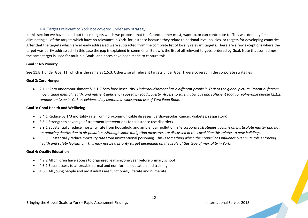#### 4.4. Targets relevant to York not covered under any strategy

<span id="page-11-0"></span>In this section we have pulled out those targets which we propose that the Council either must, want to, or can contribute to. This was done by first eliminating all of the targets which have no relevance in York, for instance because they relate to national level policies, or targets for developing countries. After that the targets which are already addressed were subtracted from the complete list of locally relevant targets. There are a few exceptions where the target was partly addressed - in this case the gap is explained in comments. Below is the list of all relevant targets, ordered by Goal. Note that sometimes the same target is used for multiple Goals, and notes have been made to capture this.

#### **Goal 1: No Poverty**

See 11.B.1 under Goal 11, which is the same as 1.5.3. Otherwise all relevant targets under Goal 1 were covered in the corporate strategies

#### **Goal 2: Zero Hunger**

• 2.1.1: Zero undernourishment & 2.1.2 Zero food insecurity. *Undernourishment has a different profile in York to the global picture. Potential factors may include mental health, and nutrient deficiency caused by food poverty. Access to safe, nutritious and sufficient food for vulnerable people (2.1.2) remains an issue in York as evidenced by continued widespread use of York Food Bank.*

#### **Goal 3: Good Health and Wellbeing**

- 3.4.1 Reduce by 1/3 mortality rate from non-communicable diseases (cardiovascular, cancer, diabetes, respiratory)
- 3.5.1 Strengthen coverage of treatment interventions for substance use disorders
- 3.9.1 Substantially reduce mortality rate from household and ambient air pollution. *The corporate strategies' focus is on particulate matter and not on reducing deaths due to air pollution. Although some mitigation measures are discussed in the Local Plan this relates to new buildings.*
- 3.9.3 Substantially reduce mortality rate from unintentional poisoning. *This is something which the Council has influence over in its role enforcing health and safety legislation. This may not be a priority target depending on the scale of this type of mortality in York.*

#### **Goal 4: Quality Education**

- 4.2.2 All children have access to organised learning one year before primary school
- 4.3.1 Equal access to affordable formal and non-formal education and training
- 4.6.1 All young people and most adults are functionally literate and numerate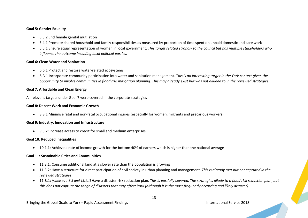#### **Goal 5: Gender Equality**

- 5.3.2 End female genital mutilation
- 5.4.1 Promote shared household and family responsibilities as measured by proportion of time spent on unpaid domestic and care work
- 5.5.1 Ensure equal representation of women in local government. *This target related strongly to the council but has multiple stakeholders who influence the outcome including local political parties.*

#### **Goal 6: Clean Water and Sanitation**

- 6.6.1 Protect and restore water-related ecosystems
- 6.B.1 Incorporate community participation into water and sanitation management. *This is an interesting target in the York context given the opportunity to involve communities in flood risk mitigation planning. This may already exist but was not alluded to in the reviewed strategies.*

#### **Goal 7: Affordable and Clean Energy**

All relevant targets under Goal 7 were covered in the corporate strategies

#### **Goal 8: Decent Work and Economic Growth**

• 8.8.1 Minimise fatal and non-fatal occupational injuries (especially for women, migrants and precarious workers)

#### **Goal 9: Industry, Innovation and Infrastructure**

• 9.3.2: Increase access to credit for small and medium enterprises

#### **Goal 10: Reduced Inequalities**

• 10.1.1: Achieve a rate of income growth for the bottom 40% of earners which is higher than the national average

#### **Goal 11: Sustainable Cities and Communities**

- 11.3.1: Consume additional land at a slower rate than the population is growing
- 11.3.2: Have a structure for direct participation of civil society in urban planning and management. *This is already met but not captured in the reviewed strategies*
- 11.B.1: *(same as 1.5.3 and 13.1.1)* Have a disaster risk reduction plan. *This is partially covered. The strategies allude to a flood risk reduction plan, but this does not capture the range of disasters that may affect York (although it is the most frequently occurring and likely disaster)*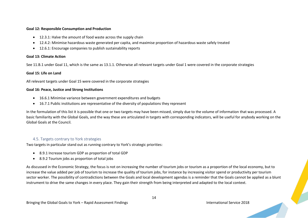#### **Goal 12: Responsible Consumption and Production**

- 12.3.1: Halve the amount of food waste across the supply chain
- 12.4.2: Minimise hazardous waste generated per capita, and maximise proportion of hazardous waste safely treated
- 12.6.1: Encourage companies to publish sustainability reports

#### **Goal 13: Climate Action**

See 11.B.1 under Goal 11, which is the same as 13.1.1. Otherwise all relevant targets under Goal 1 were covered in the corporate strategies

#### **Goal 15: Life on Land**

All relevant targets under Goal 15 were covered in the corporate strategies

#### **Goal 16: Peace, Justice and Strong Institutions**

- 16.6.1 Minimise variance between government expenditures and budgets
- 16.7.1 Public institutions are representative of the diversity of populations they represent

In the formulation of this list it is possible that one or two targets may have been missed, simply due to the volume of information that was processed. A basic familiarity with the Global Goals, and the way these are articulated in targets with corresponding indicators, will be useful for anybody working on the Global Goals at the Council.

#### 4.5. Targets contrary to York strategies

<span id="page-13-0"></span>Two targets in particular stand out as running contrary to York's strategic priorities:

- 8.9.1 Increase tourism GDP as proportion of total GDP
- 8.9.2 Tourism jobs as proportion of total jobs

As discussed in the Economic Strategy, the focus is not on increasing the number of tourism jobs or tourism as a proportion of the local economy, but to increase the value added per job of tourism to increase the quality of tourism jobs, for instance by increasing visitor spend or productivity per tourism sector worker. The possibility of contradictions between the Goals and local development agendas is a reminder that the Goals cannot be applied as a blunt instrument to drive the same changes in every place. They gain their strength from being interpreted and adapted to the local context.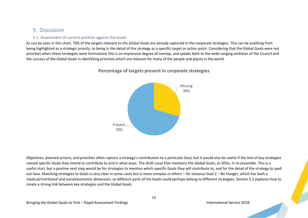## <span id="page-14-0"></span>5. Discussion

### 5.1. Assessment of current position against the Goals

<span id="page-14-1"></span>As can be seen in this chart, 70% of the targets relevant to the Global Goals are already captured in the corporate strategies. This can be anything from being highlighted as a strategic priority, to being in the detail of the strategy as a specific target or action point. Considering that the Global Goals were not priorities when these strategies were formulated, this is an impressive degree of overlap, and speaks both to the wide-ranging ambition of the Council and the success of the Global Goals in identifying priorities which are relevant for many of the people and places in the world.



## **Percentage of targets present in corporate strategies**

Objectives, planned actions, and priorities often capture a strategy's contribution to a particular Goal, but it would also be useful if the text of key strategies named specific Goals they intend to contribute to and in what ways. The draft Local Plan mentions the Global Goals, or SDGs, in its preamble. This is a useful start, but a positive next step would be for strategies to mention which specific Goals they will contribute to, and for the detail of the strategy to spell out how. Matching strategies to Goals is very clear in some cases but is more complex in others – for instance Goal 2 – No Hunger, which has both a medical/nutritional and social/economic dimension, so different parts of the Goals could perhaps belong to different strategies. Section 5.2 explores how to create a strong link between key strategies and the Global Goals.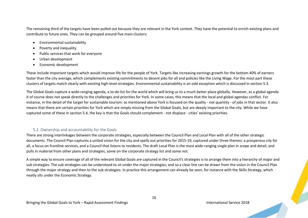The remaining third of the targets have been pulled out because they are relevant in the York context. They have the potential to enrich existing plans and contribute to future ones. They can be grouped around five main clusters:

- Environmental sustainability
- Poverty and inequality
- Public services that work for everyone
- Urban development
- Economic development

These include important targets which would improve life for the people of York. Targets like increasing earnings growth for the bottom 40% of earners faster than the city average, which complements existing commitments to decent jobs for all and policies like the Living Wage. For the most part these clusters of targets match clearly with existing high-level strategies. Environmental sustainability is an odd exception which is discussed in section 5.3.

The Global Goals capture a wide-ranging agenda, a to-do list for the world which will bring us to a much better place globally. However, as a global agenda it of course does not speak directly to the challenges and priorities for York. In some cases, this means that the local and global agendas conflict. For instance, in the detail of the target for sustainable tourism: as mentioned above York is focused on the quality - not quantity - of jobs in that sector. It also means that there are certain priorities for York which are simply missing from the Global Goals, but are deeply important to the city. While we have captured some of these in section 5.4, the key is that the Goals should complement - not displace - cities' existing priorities.

## 5.2. Ownership and accountability for the Goals

<span id="page-15-0"></span>There are strong interlinkages between the corporate strategies, especially between the Council Plan and Local Plan with all of the other strategic documents. The Council Plan captures a united vision for the city and spells out priorities for 2015-19, captured under three themes: a prosperous city for all, a focus on frontline services, and a Council that listens to residents. The draft Local Plan is the most wide-ranging single plan in scope and detail, and pulls in material from other plans and strategies, some on the corporate strategy list and some not.

A simple way to ensure coverage of all of the relevant Global Goals are captured in the Council's strategies is to arrange them into a hierarchy of major and sub strategies. The sub strategies can be understood to sit under the major strategies, and so a clear line can be drawn from the vision in the Council Plan through the major strategy and then to the sub strategies. In practice this arrangement can already be seen, for instance with the Skills Strategy, which neatly sits under the Economic Strategy.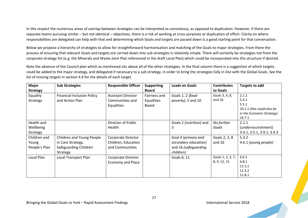In this respect the numerous areas of overlap between strategies can be interpreted as consistency, as opposed to duplication. However, if there are separate teams pursuing similar – but not identical – objectives, there is a risk of working at cross purposes or duplication of effort. Clarity on where responsibilities are delegated can help with that and determining which Goals and targets are passed down is a good starting point for that conversation.

Below we propose a hierarchy of strategies to allow for straightforward harmonisation and matching of the Goals to major strategies. From there the process of ensuring that relevant Goals and targets are carried down into sub strategies is relatively simple. There will certainly be strategies not from the corporate strategy list (e.g. the Minerals and Waste Joint Plan referenced in the draft Local Plan) which could be incorporated into this structure if desired.

Note the absence of the Council plan which as mentioned sits above all of the other strategies. In the final column there is a suggestion of which targets could be added to the major strategy, and delegated if necessary to a sub strategy, in order to bring the strategies fully in line with the Global Goals. See the list of missing targets in section 4.4 for the details of each target.

| <b>Major</b>    | <b>Sub Strategies</b>             | <b>Responsible Officer</b> | <b>Supporting</b> | <b>Leads on Goals</b>   | <b>Contributes</b> | Targets to add             |
|-----------------|-----------------------------------|----------------------------|-------------------|-------------------------|--------------------|----------------------------|
| <b>Strategy</b> |                                   |                            | <b>Board</b>      |                         | to Goals           |                            |
| Equality        | <b>Financial Inclusion Policy</b> | <b>Assistant Director</b>  | Fairness and      | Goals 1, 2 (food        | Goals 3, 4, 8,     | 2.1.2                      |
| Strategy        | and Action Plan                   | Communities and            | Equalities        | poverty), 5 and 10      | and $16$           | 5.4.1                      |
|                 |                                   | Equalities                 | Board             |                         |                    | 5.5.1                      |
|                 |                                   |                            |                   |                         |                    | 10.1.1 (this could also be |
|                 |                                   |                            |                   |                         |                    | in the Economic Strategy)  |
|                 |                                   |                            |                   |                         |                    | 16.7.1                     |
| Health and      |                                   | Director of Public         |                   | Goals 2 (nutrition) and | No further         | 2.1.1                      |
| Wellbeing       |                                   | Health                     |                   | 3                       | Goals              | (undernourishment)         |
| Strategy        |                                   |                            |                   |                         |                    | 3.4.1, 3.5.1, 3.9.1, 3.9.3 |
| Children and    | Children and Young People         | Corporate Director         |                   | Goal 4 (primary and     | Goals 2, 3, 8      | 5.3.2                      |
| Young           | in Care Strategy,                 | Children, Education        |                   | secondary education)    | and $16$           | 4.6.1 (young people)       |
| People's Plan   | Safeguarding Children             | and Communities            |                   | and 16 (safeguarding    |                    |                            |
|                 | Strategy                          |                            |                   | children)               |                    |                            |
| Local Plan      | Local Transport Plan              | Corporate Director         |                   | Goals 6, 11             | Goals 1, 2, 3, 7,  | 6.6.1                      |
|                 |                                   | Economy and Place          |                   |                         | 8, 9, 12, 15       | 6.B.1                      |
|                 |                                   |                            |                   |                         |                    | 11.3.1                     |
|                 |                                   |                            |                   |                         |                    | 11.3.2                     |
|                 |                                   |                            |                   |                         |                    | 11.B.1                     |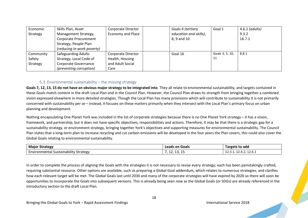| Economic  | Skills Plan, Asset           | Corporate Director       | Goals 4 (tertiary      | Goal 1          | $4.6.1$ (adults) |
|-----------|------------------------------|--------------------------|------------------------|-----------------|------------------|
| Strategy  | Management Strategy,         | <b>Economy and Place</b> | education and skills), |                 | 9.3.2            |
|           | <b>Corporate Procurement</b> |                          | 8, 9 and 10            |                 | 16.7.1           |
|           | Strategy, People Plan        |                          |                        |                 |                  |
|           | (reducing in-work poverty)   |                          |                        |                 |                  |
| Community | <b>Safeguarding Adults</b>   | Corporate Director       | Goal 16                | Goals 3, 5, 10, | 8.8.1            |
| Safety    | Strategy, Local Code of      | Health, Housing          |                        | 11              |                  |
| Strategy  | Corporate Governance         | and Adult Social         |                        |                 |                  |
|           | (preventing corruption)      | Care                     |                        |                 |                  |

#### 5.3. Environmental sustainability – the missing strategy

<span id="page-17-0"></span>**Goals 7, 12, 13, 15 do not have an obvious major strategy to be integrated into**. They all relate to environmental sustainability, and targets contained in these Goals match content in the draft Local Plan and in the Council Plan. However, the Council Plan draws its strength from bringing together a combined vision expressed elsewhere in more detailed strategies. Though the Local Plan has many provisions which will contribute to sustainability it is not primarily concerned with sustainability per se – instead, it focuses on these matters primarily when they intersect with the Local Plan's primary focus on urban planning and development.

Nothing encapsulating One Planet York was included in the list of corporate strategies because there is no One Planet York strategy – it has a vision, framework, and partnership, but it does not have specific objectives, responsibilities and actions. Therefore, it may be that there is a strategic gap for a sustainability strategy, or environment strategy, bringing together York's objectives and supporting measures for environmental sustainability. The Council Plan states that a long-term plan to increase recycling and cut carbon emissions will be developed in the four years the Plan covers, this could also cover the Global Goals relating to environmental sustainability.

| <b>Major Strategy</b>                                | <b>Leads on Goals</b> | Targets to add                          |
|------------------------------------------------------|-----------------------|-----------------------------------------|
| $\cdots$<br>Environmental Sustainability<br>Strategy | , 12, 19, 19          | $\sim$ $\sim$<br>12.3.1, 12.4.2, 12.6.1 |

In order to complete the process of aligning the Goals with the strategies it is not necessary to revise every strategy; each has been painstakingly crafted, requiring substantial resource. Other options are available, such as preparing a Global Goal addendum, which relates to numerous strategies, and clarifies how each relevant target will be met. The Global Goals last until 2030 and many of the corporate strategies will have expired by 2020 so there will soon be opportunities to incorporate the Goals into subsequent versions. This is already being seen now as the Global Goals (or SDGs) are already referenced in the introductory section to the draft Local Plan.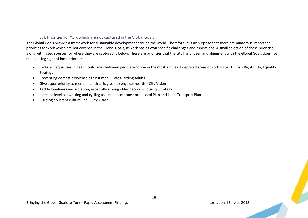#### 5.4. Priorities for York which are not captured in the Global Goals

<span id="page-18-0"></span>The Global Goals provide a framework for sustainable development around the world. Therefore, it is no surprise that there are numerous important priorities for York which are not covered in the Global Goals, as York has its own specific challenges and aspirations. A small selection of these priorities along with listed sources for where they are captured is below. These are priorities that the city has chosen and alignment with the Global Goals does not mean losing sight of local priorities.

- Reduce inequalities in health outcomes between people who live in the most and least deprived areas of York York Human Rights City, Equality Strategy
- Preventing domestic violence against men Safeguarding Adults
- Give equal priority to mental health as is given to physical health City Vision
- Tackle loneliness and isolation, especially among older people Equality Strategy
- Increase levels of walking and cycling as a means of transport Local Plan and Local Transport Plan
- Building a vibrant cultural life City Vision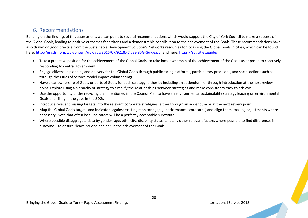## <span id="page-19-0"></span>6. Recommendations

Building on the findings of this assessment, we can point to several recommendations which would support the City of York Council to make a success of the Global Goals, leading to positive outcomes for citizens and a demonstrable contribution to the achievement of the Goals. These recommendations have also drawn on good practice from the Sustainable Development Solution's Networks resources for localising the Global Goals in cities, which can be found here:<http://unsdsn.org/wp-content/uploads/2016/07/9.1.8.-Cities-SDG-Guide.pdf> and here[: https://sdgcities.guide/.](https://sdgcities.guide/)

- Take a proactive position for the achievement of the Global Goals, to take local ownership of the achievement of the Goals as opposed to reactively responding to central government
- Engage citizens in planning and delivery for the Global Goals through public facing platforms, participatory processes, and social action (such as through the Cities of Service model impact volunteering)
- Have clear ownership of Goals or parts of Goals for each strategy, either by including an addendum, or through introduction at the next review point. Explore using a hierarchy of strategy to simplify the relationships between strategies and make consistency easy to achieve
- Use the opportunity of the recycling plan mentioned in the Council Plan to have an environmental sustainability strategy leading on environmental Goals and filling in the gaps in the SDGs
- Introduce relevant missing targets into the relevant corporate strategies, either through an addendum or at the next review point.
- Map the Global Goals targets and indicators against existing monitoring (e.g. performance scorecards) and align them, making adjustments where necessary. Note that often local indicators will be a perfectly acceptable substitute
- Where possible disaggregate data by gender, age, ethnicity, disability status, and any other relevant factors where possible to find differences in outcome – to ensure "leave no-one behind" in the achievement of the Goals.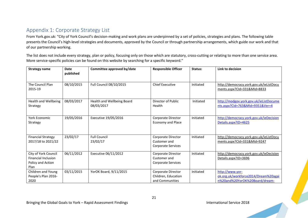# <span id="page-20-0"></span>Appendix 1: Corporate Strategy List

From York.gov.uk: "City of York Council's decision-making and work plans are underpinned by a set of policies, strategies and plans. The following table presents the Council's high-level strategies and documents, approved by the Council or through partnership arrangements, which guide our work and that of our partnership working.

The list does not include every strategy, plan or policy, focusing only on those which are statutory, cross-cutting or relating to more than one service area. More service-specific policies can be found on this website by searching for a specific keyword."

| <b>Strategy name</b>                                                            | Date<br>published | Committee approved by/date               | <b>Responsible Officer</b>                                   | Status:   | Link to decision                                                                          |
|---------------------------------------------------------------------------------|-------------------|------------------------------------------|--------------------------------------------------------------|-----------|-------------------------------------------------------------------------------------------|
| The Council Plan<br>2015-19                                                     | 08/10/2015        | Full Council 08/10/2015                  | <b>Chief Executive</b>                                       | Initiated | http://democracy.york.gov.uk/ieListDocu<br>ments.aspx?Cld=331&Mld=8833                    |
| <b>Health and Wellbeing</b><br>Strategy                                         | 08/03/2017        | Health and Wellbeing Board<br>08/03/2017 | Director of Public<br>Health                                 | Initiated | http://modgov.york.gov.uk/ieListDocume<br>nts.aspx?Cld=763&MId=9351&Ver=4                 |
| York Economic<br>Strategy                                                       | 19/05/2016        | Executive 19/05/2016                     | Corporate Director<br><b>Economy and Place</b>               | Initiated | http://democracy.york.gov.uk/ieDecision<br>Details.aspx?ID=4625                           |
| <b>Financial Strategy</b><br>2017/18 to 2021/22                                 | 23/02/17          | <b>Full Council</b><br>23/02/17          | Corporate Director<br>Customer and<br>Corporate Services     | Initiated | http://democracy.york.gov.uk/ieListDocu<br>ments.aspx?Cld=331&Mld=9247                    |
| City of York Council<br><b>Financial Inclusion</b><br>Policy and Action<br>Plan | 06/11/2012        | Executive 06/11/2012                     | Corporate Director<br>Customer and<br>Corporate Services     | Initiated | http://democracy.york.gov.uk/ieDecision<br>Details.aspx?ID=3696                           |
| Children and Young<br>People's Plan 2016-<br>2020                               | 03/11/2015        | YorOK Board, 9/11/2015                   | Corporate Director<br>Children, Education<br>and Communities | Initiated | http://www.yor-<br>ok.org.uk/workforce2014/Dream%20agai<br>n%20and%20YorOK%20Board/dream- |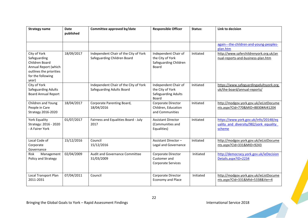| <b>Strategy name</b>                                                                                                            | <b>Date</b><br>published | Committee approved by/date                                                | <b>Responsible Officer</b>                                                      | Status:   | Link to decision                                                                          |
|---------------------------------------------------------------------------------------------------------------------------------|--------------------------|---------------------------------------------------------------------------|---------------------------------------------------------------------------------|-----------|-------------------------------------------------------------------------------------------|
|                                                                                                                                 |                          |                                                                           |                                                                                 |           | again---the-children-and-young-peoples-<br>plan.htm                                       |
| City of York<br>Safeguarding<br>Children Board<br>Annual Report (which<br>outlines the priorities<br>for the following<br>year) | 18/09/2017               | Independent Chair of the City of York<br>Safeguarding Children Board      | Independent Chair of<br>the City of York<br>Safeguarding Children<br>Board      | Initiated | http://www.saferchildrenyork.org.uk/an<br>nual-reports-and-business-plan.htm              |
| City of York<br>Safeguarding Adults<br><b>Board Annual Report</b>                                                               |                          | Independent Chair of the City of York<br><b>Safeguarding Adults Board</b> | Independent Chair of<br>the City of York<br><b>Safeguarding Adults</b><br>Board | Initiated | https://www.safeguardingadultsyork.org.<br>uk/the-board/annual-reports/                   |
| Children and Young<br>People in Care<br>Strategy 2016-2020                                                                      | 18/04/2017               | Corporate Parenting Board,<br>18/04/2016                                  | Corporate Director<br>Children, Education<br>and Communities                    | Initiated | http://modgov.york.gov.uk/ieListDocume<br>nts.aspx?Cld=770&MID=8830#AI41204               |
| York Equality<br>Strategy: 2016 - 2020<br>- A Fairer York                                                                       | 01/07/2017               | Fairness and Equalities Board - July<br>2017                              | <b>Assistant Director</b><br>(Communities and<br>Equalities)                    | Initiated | https://www.york.gov.uk/info/20148/eq<br>uality and diversity/982/york equality<br>scheme |
| Local Code of<br>Corporate<br>Governance                                                                                        | 15/12/2016               | Council<br>15/12/2016                                                     | Assistant Director-<br>Legal and Governance                                     | Initiated | http://modgov.york.gov.uk/ieListDocume<br>nts.aspx?Cld=331&MID=9243                       |
| Risk<br>Management<br>Policy and Strategy                                                                                       | 02/04/2009               | Audit and Governance Committee<br>31/03/2009                              | Corporate Director<br>Customer and<br>Corporate Services                        | Initiated | http://democracy.york.gov.uk/ieDecision<br>Details.aspx?ID=2234                           |
| Local Transport Plan<br>2011-2031                                                                                               | 07/04/2011               | Council                                                                   | Corporate Director<br><b>Economy and Place</b>                                  | Initiated | http://modgov.york.gov.uk/ieListDocume<br>nts.aspx?Cld=331&MId=5338&Ver=4                 |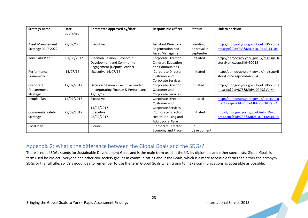| <b>Strategy name</b>    | <b>Date</b> | Committee approved by/date            | <b>Responsible Officer</b>  | Status:     | Link to decision                        |
|-------------------------|-------------|---------------------------------------|-----------------------------|-------------|-----------------------------------------|
|                         | published   |                                       |                             |             |                                         |
| Asset Management        | 28/09/17    | Executive                             | <b>Assistant Director -</b> | Pending     | http://modgov.york.gov.uk/ieListDocume  |
| Strategy 2017-2022      |             |                                       | Regeneration and            | approval in | nts.aspx?Cld=733&MID=10191#Al44104      |
|                         |             |                                       | Asset Management            | September   |                                         |
| York Skills Plan        | 01/08/2017  | Decision Session - Economic           | Corporate Director          | Initiated   | http://democracy.york.gov.uk/mglssueHi  |
|                         |             | Development and Community             | Children, Education         |             | storyHome.aspx?IId=50212                |
|                         |             | Engagement (Deputy Leader)            | and Communities             |             |                                         |
| Performance             | 14/07/16    | Executive 14/07/16                    | Corporate Director          | Initiated   | http://democracy.york.gov.uk/mglssueHi  |
| Framework               |             |                                       | Customer and                |             | storyHome.aspx?IId=46094                |
|                         |             |                                       | Corporate Services          |             |                                         |
| Corporate               | 17/07/2017  | Decision Session - Executive Leader   | Corporate Director          | Initiated   | http://modgov.york.gov.uk/ieListDocume  |
| Procurement             |             | (incorporating Finance & Performance) | Customer and                |             | nts.aspx?Cld=875&MId=10049&Ver=4        |
| Strategy                |             | 17/07/17                              | Corporate Services          |             |                                         |
| People Plan             | 14/07/2017  | Executive                             | Corporate Director          | Initiated   | http://democracy.york.gov.uk/ieListDocu |
|                         |             |                                       | Customer and                |             | ments.aspx?Cld=733&MId=9303&Ver=4       |
|                         |             | 14/07/2017                            | Corporate Services          |             |                                         |
| <b>Community Safety</b> | 28/09/2017  | Executive                             | Corporate Director          | Initiated   | http://modgov.york.gov.uk/ieListDocum   |
| Strategy                |             | 28/09/2017                            | Health, Housing and         |             | ents.aspx?Cld=733&MID=10191#Al44104     |
|                         |             |                                       | <b>Adult Social Care</b>    |             |                                         |
| Local Plan              |             | Council                               | Corporate Director          | $\ln$       |                                         |
|                         |             |                                       | <b>Economy and Place</b>    | development |                                         |

## <span id="page-22-0"></span>Appendix 2: What's the difference between the Global Goals and the SDGs?

There is none! SDGs stands for Sustainable Development Goals and is the main term used at the UN by diplomats and other specialists. Global Goals is a term used by Project Everyone and other civil society groups in communicating about the Goals, which is a more accessible term than either the acronym SDGs or the full title, so it's a good idea to remember to use the term Global Goals when trying to make communications as accessible as possible.